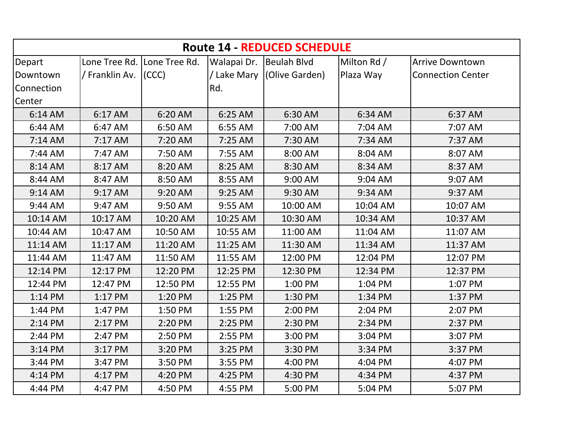| <b>Route 14 - REDUCED SCHEDULE</b> |                      |                             |                         |                            |             |                          |  |  |  |
|------------------------------------|----------------------|-----------------------------|-------------------------|----------------------------|-------------|--------------------------|--|--|--|
| Depart                             |                      | Lone Tree Rd. Lone Tree Rd. | Walapai Dr. Beulah Blvd |                            | Milton Rd / | <b>Arrive Downtown</b>   |  |  |  |
| Downtown                           | / Franklin Av. (CCC) |                             |                         | / Lake Mary (Olive Garden) | Plaza Way   | <b>Connection Center</b> |  |  |  |
| Connection                         |                      |                             | Rd.                     |                            |             |                          |  |  |  |
| Center                             |                      |                             |                         |                            |             |                          |  |  |  |
| 6:14 AM                            | 6:17 AM              | 6:20 AM                     | 6:25 AM                 | 6:30 AM                    | 6:34 AM     | 6:37 AM                  |  |  |  |
| 6:44 AM                            | 6:47 AM              | 6:50 AM                     | 6:55 AM                 | 7:00 AM                    | 7:04 AM     | 7:07 AM                  |  |  |  |
| 7:14 AM                            | 7:17 AM              | 7:20 AM                     | 7:25 AM                 | 7:30 AM                    | 7:34 AM     | 7:37 AM                  |  |  |  |
| 7:44 AM                            | 7:47 AM              | 7:50 AM                     | 7:55 AM                 | 8:00 AM                    | 8:04 AM     | 8:07 AM                  |  |  |  |
| 8:14 AM                            | 8:17 AM              | 8:20 AM                     | 8:25 AM                 | 8:30 AM                    | 8:34 AM     | 8:37 AM                  |  |  |  |
| 8:44 AM                            | 8:47 AM              | 8:50 AM                     | 8:55 AM                 | 9:00 AM                    | 9:04 AM     | 9:07 AM                  |  |  |  |
| 9:14 AM                            | 9:17 AM              | 9:20 AM                     | 9:25 AM                 | 9:30 AM                    | 9:34 AM     | 9:37 AM                  |  |  |  |
| 9:44 AM                            | 9:47 AM              | 9:50 AM                     | 9:55 AM                 | 10:00 AM                   | 10:04 AM    | 10:07 AM                 |  |  |  |
| 10:14 AM                           | 10:17 AM             | 10:20 AM                    | 10:25 AM                | 10:30 AM                   | 10:34 AM    | 10:37 AM                 |  |  |  |
| 10:44 AM                           | 10:47 AM             | 10:50 AM                    | 10:55 AM                | 11:00 AM                   | 11:04 AM    | 11:07 AM                 |  |  |  |
| 11:14 AM                           | 11:17 AM             | 11:20 AM                    | 11:25 AM                | 11:30 AM                   | 11:34 AM    | 11:37 AM                 |  |  |  |
| 11:44 AM                           | 11:47 AM             | 11:50 AM                    | 11:55 AM                | 12:00 PM                   | 12:04 PM    | 12:07 PM                 |  |  |  |
| 12:14 PM                           | 12:17 PM             | 12:20 PM                    | 12:25 PM                | 12:30 PM                   | 12:34 PM    | 12:37 PM                 |  |  |  |
| 12:44 PM                           | 12:47 PM             | 12:50 PM                    | 12:55 PM                | 1:00 PM                    | 1:04 PM     | 1:07 PM                  |  |  |  |
| 1:14 PM                            | 1:17 PM              | 1:20 PM                     | 1:25 PM                 | 1:30 PM                    | 1:34 PM     | 1:37 PM                  |  |  |  |
| 1:44 PM                            | 1:47 PM              | 1:50 PM                     | 1:55 PM                 | 2:00 PM                    | 2:04 PM     | 2:07 PM                  |  |  |  |
| 2:14 PM                            | 2:17 PM              | 2:20 PM                     | 2:25 PM                 | 2:30 PM                    | 2:34 PM     | 2:37 PM                  |  |  |  |
| 2:44 PM                            | 2:47 PM              | 2:50 PM                     | 2:55 PM                 | 3:00 PM                    | 3:04 PM     | 3:07 PM                  |  |  |  |
| 3:14 PM                            | 3:17 PM              | 3:20 PM                     | 3:25 PM                 | 3:30 PM                    | 3:34 PM     | 3:37 PM                  |  |  |  |
| 3:44 PM                            | 3:47 PM              | 3:50 PM                     | 3:55 PM                 | 4:00 PM                    | 4:04 PM     | 4:07 PM                  |  |  |  |
| 4:14 PM                            | 4:17 PM              | 4:20 PM                     | 4:25 PM                 | 4:30 PM                    | 4:34 PM     | 4:37 PM                  |  |  |  |
| 4:44 PM                            | 4:47 PM              | 4:50 PM                     | 4:55 PM                 | 5:00 PM                    | 5:04 PM     | 5:07 PM                  |  |  |  |